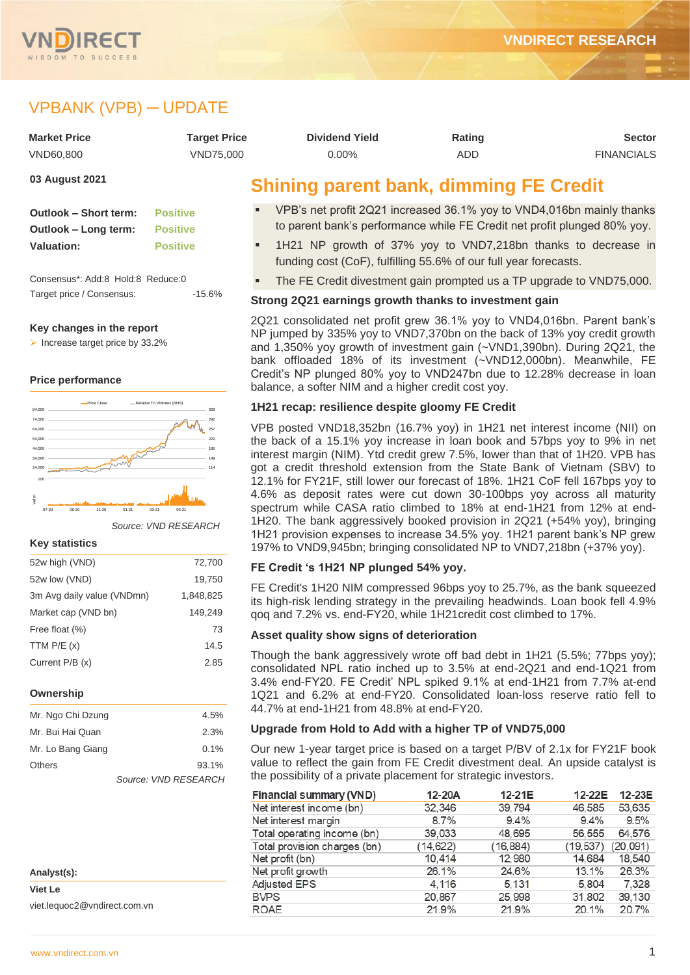

# VPBANK (VPB) ─ UPDATE

| <b>Market Price</b> | <b>Target Price</b> | <b>Dividend Yield</b>                         | Rating | <b>Sector</b>     |
|---------------------|---------------------|-----------------------------------------------|--------|-------------------|
| VND60.800           | VND75.000           | $0.00\%$                                      | ADD    | <b>FINANCIALS</b> |
| 03 August 2021      |                     | <b>Shining parent bank, dimming FE Credit</b> |        |                   |

**Outlook – Short term: Positive Outlook – Long term: Positive Valuation: Positive**

Consensus\*: Add:8 Hold:8 Reduce:0 Target price / Consensus: -15.6%

#### **Key changes in the report**

➢ Increase target price by 33.2%

#### **Price performance**



*Source: VND RESEARCH*

#### **Key statistics**

| 52w high (VND)             | 72,700    |
|----------------------------|-----------|
| 52w low (VND)              | 19,750    |
| 3m Avg daily value (VNDmn) | 1,848,825 |
| Market cap (VND bn)        | 149.249   |
| Free float (%)             | 73        |
| TTM $P/E(x)$               | 14.5      |
| Current P/B (x)            | 2.85      |
|                            |           |

#### **Ownership**

| Mr. Ngo Chi Dzung | 4.5%                 |
|-------------------|----------------------|
| Mr. Bui Hai Quan  | 2.3%                 |
| Mr. Lo Bang Giang | 0.1%                 |
| Others            | 93.1%                |
|                   | Source: VND RESEARCH |

| Analyst(s):                  |
|------------------------------|
| Viet Le                      |
| viet.lequoc2@vndirect.com.vn |

# **Shining parent bank, dimming FE Credit**

- VPB's net profit 2Q21 increased 36.1% yoy to VND4,016bn mainly thanks to parent bank's performance while FE Credit net profit plunged 80% yoy.
- 1H21 NP growth of 37% yoy to VND7,218bn thanks to decrease in funding cost (CoF), fulfilling 55.6% of our full year forecasts.
- The FE Credit divestment gain prompted us a TP upgrade to VND75,000.

#### **Strong 2Q21 earnings growth thanks to investment gain**

2Q21 consolidated net profit grew 36.1% yoy to VND4,016bn. Parent bank's NP jumped by 335% yoy to VND7,370bn on the back of 13% yoy credit growth and 1,350% yoy growth of investment gain (~VND1,390bn). During 2Q21, the bank offloaded 18% of its investment (~VND12,000bn). Meanwhile, FE Credit's NP plunged 80% yoy to VND247bn due to 12.28% decrease in loan balance, a softer NIM and a higher credit cost yoy.

#### **1H21 recap: resilience despite gloomy FE Credit**

VPB posted VND18,352bn (16.7% yoy) in 1H21 net interest income (NII) on the back of a 15.1% yoy increase in loan book and 57bps yoy to 9% in net interest margin (NIM). Ytd credit grew 7.5%, lower than that of 1H20. VPB has got a credit threshold extension from the State Bank of Vietnam (SBV) to 12.1% for FY21F, still lower our forecast of 18%. 1H21 CoF fell 167bps yoy to 4.6% as deposit rates were cut down 30-100bps yoy across all maturity spectrum while CASA ratio climbed to 18% at end-1H21 from 12% at end-1H20. The bank aggressively booked provision in 2Q21 (+54% yoy), bringing 1H21 provision expenses to increase 34.5% yoy. 1H21 parent bank's NP grew 197% to VND9,945bn; bringing consolidated NP to VND7,218bn (+37% yoy).

#### **FE Credit 's 1H21 NP plunged 54% yoy.**

FE Credit's 1H20 NIM compressed 96bps yoy to 25.7%, as the bank squeezed its high-risk lending strategy in the prevailing headwinds. Loan book fell 4.9% qoq and 7.2% vs. end-FY20, while 1H21credit cost climbed to 17%.

#### **Asset quality show signs of deterioration**

Though the bank aggressively wrote off bad debt in 1H21 (5.5%; 77bps yoy); consolidated NPL ratio inched up to 3.5% at end-2Q21 and end-1Q21 from 3.4% end-FY20. FE Credit' NPL spiked 9.1% at end-1H21 from 7.7% at-end 1Q21 and 6.2% at end-FY20. Consolidated loan-loss reserve ratio fell to 44.7% at end-1H21 from 48.8% at end-FY20.

#### **Upgrade from Hold to Add with a higher TP of VND75,000**

Our new 1-year target price is based on a target P/BV of 2.1x for FY21F book value to reflect the gain from FE Credit divestment deal. An upside catalyst is the possibility of a private placement for strategic investors.

| Financial summary (VND)      | 12-20A   | 12-21E    | 12-22E   | 12-23E   |
|------------------------------|----------|-----------|----------|----------|
| Net interest income (bn)     | 32.346   | 39,794    | 46,585   | 53.635   |
| Net interest margin          | 8.7%     | $9.4\%$   | 9.4%     | 9.5%     |
| Total operating income (bn)  | 39,033   | 48,695    | 56,555   | 64.576   |
| Total provision charges (bn) | (14.622) | (16, 884) | (19.537) | (20,091) |
| Net profit (bn)              | 10.414   | 12,980    | 14.684   | 18,540   |
| Net profit growth            | 26.1%    | 24.6%     | 13.1%    | 26.3%    |
| <b>Adjusted EPS</b>          | 4.116    | 5.131     | 5.804    | 7.328    |
| <b>BVPS</b>                  | 20,867   | 25,998    | 31,802   | 39,130   |
| <b>ROAE</b>                  | 21.9%    | 21.9%     | 20.1%    | 20.7%    |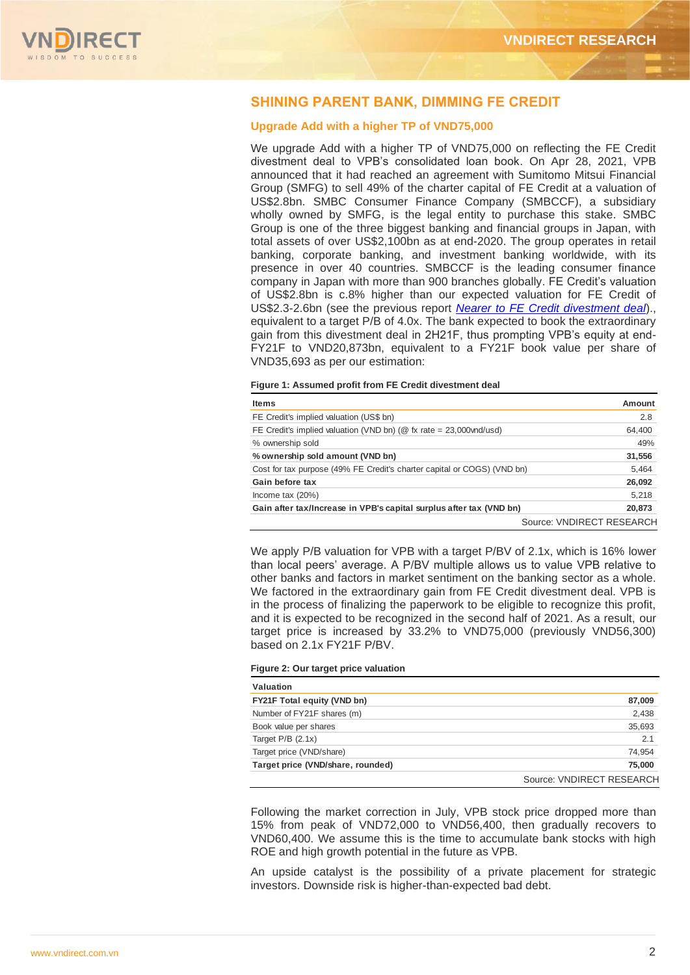

## **SHINING PARENT BANK, DIMMING FE CREDIT**

#### **Upgrade Add with a higher TP of VND75,000**

We upgrade Add with a higher TP of VND75,000 on reflecting the FE Credit divestment deal to VPB's consolidated loan book. On Apr 28, 2021, VPB announced that it had reached an agreement with Sumitomo Mitsui Financial Group (SMFG) to sell 49% of the charter capital of FE Credit at a valuation of US\$2.8bn. SMBC Consumer Finance Company (SMBCCF), a subsidiary wholly owned by SMFG, is the legal entity to purchase this stake. SMBC Group is one of the three biggest banking and financial groups in Japan, with total assets of over US\$2,100bn as at end-2020. The group operates in retail banking, corporate banking, and investment banking worldwide, with its presence in over 40 countries. SMBCCF is the leading consumer finance company in Japan with more than 900 branches globally. FE Credit's valuation of US\$2.8bn is c.8% higher than our expected valuation for FE Credit of US\$2.3-2.6bn (see the previous report *[Nearer to FE Credit divestment deal](https://www.vndirect.com.vn/cmsupload/beta/VPB_Update_20210119.pdf)*)., equivalent to a target P/B of 4.0x. The bank expected to book the extraordinary gain from this divestment deal in 2H21F, thus prompting VPB's equity at end-FY21F to VND20,873bn, equivalent to a FY21F book value per share of VND35,693 as per our estimation:

### **Figure 1: Assumed profit from FE Credit divestment deal**

| Items                                                                   | Amount                    |
|-------------------------------------------------------------------------|---------------------------|
| FE Credit's implied valuation (US\$ bn)                                 | 2.8                       |
| FE Credit's implied valuation (VND bn) ( $@$ fx rate = 23,000 vnd/usd)  | 64,400                    |
| % ownership sold                                                        | 49%                       |
| % ownership sold amount (VND bn)                                        | 31,556                    |
| Cost for tax purpose (49% FE Credit's charter capital or COGS) (VND bn) | 5,464                     |
| Gain before tax                                                         | 26,092                    |
| Income tax $(20%)$                                                      | 5,218                     |
| Gain after tax/Increase in VPB's capital surplus after tax (VND bn)     | 20,873                    |
|                                                                         | Source: VNDIRECT RESEARCH |

We apply P/B valuation for VPB with a target P/BV of 2.1x, which is 16% lower than local peers' average. A P/BV multiple allows us to value VPB relative to other banks and factors in market sentiment on the banking sector as a whole. We factored in the extraordinary gain from FE Credit divestment deal. VPB is in the process of finalizing the paperwork to be eligible to recognize this profit, and it is expected to be recognized in the second half of 2021. As a result, our target price is increased by 33.2% to VND75,000 (previously VND56,300) based on 2.1x FY21F P/BV.

#### **Figure 2: Our target price valuation**

| Valuation                          |                           |
|------------------------------------|---------------------------|
| <b>FY21F Total equity (VND bn)</b> | 87,009                    |
| Number of FY21F shares (m)         | 2,438                     |
| Book value per shares              | 35,693                    |
| Target $P/B$ (2.1x)                | 2.1                       |
| Target price (VND/share)           | 74,954                    |
| Target price (VND/share, rounded)  | 75,000                    |
|                                    | Source: VNDIRECT RESEARCH |

Following the market correction in July, VPB stock price dropped more than 15% from peak of VND72,000 to VND56,400, then gradually recovers to VND60,400. We assume this is the time to accumulate bank stocks with high ROE and high growth potential in the future as VPB.

An upside catalyst is the possibility of a private placement for strategic investors. Downside risk is higher-than-expected bad debt.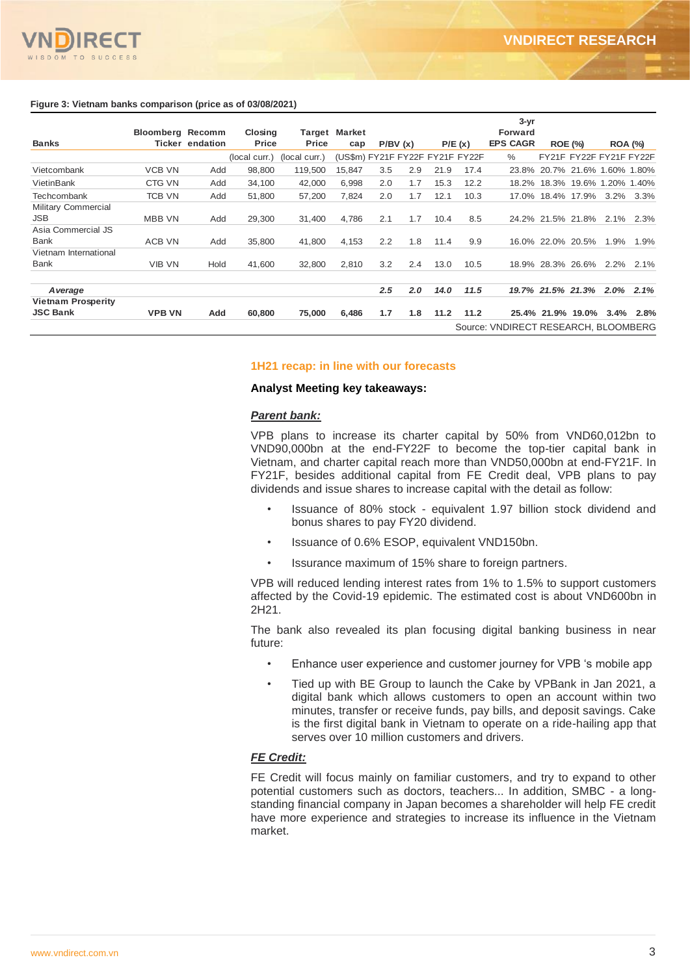

|                            |                         |                        |               |               |                                 |     |               |      |        | $3 - yr$                             |                               |                         |      |                |
|----------------------------|-------------------------|------------------------|---------------|---------------|---------------------------------|-----|---------------|------|--------|--------------------------------------|-------------------------------|-------------------------|------|----------------|
|                            | <b>Bloomberg Recomm</b> |                        | Closing       |               | Target Market                   |     |               |      |        | <b>Forward</b>                       |                               |                         |      |                |
| <b>Banks</b>               |                         | <b>Ticker endation</b> | Price         | Price         | cap                             |     | P/BV(x)       |      | P/E(x) | <b>EPS CAGR</b>                      |                               | <b>ROE (%)</b>          |      | <b>ROA (%)</b> |
|                            |                         |                        | (local curr.) | (local curr.) | (US\$m) FY21F FY22F FY21F FY22F |     |               |      |        | %                                    |                               | FY21F FY22F FY21F FY22F |      |                |
| Vietcombank                | <b>VCB VN</b>           | Add                    | 98,800        | 119,500       | 15,847                          | 3.5 | 2.9           | 21.9 | 17.4   |                                      | 23.8% 20.7% 21.6%             |                         |      | 1.60% 1.80%    |
| VietinBank                 | CTG VN                  | Add                    | 34,100        | 42,000        | 6.998                           | 2.0 | 1.7           | 15.3 | 12.2   |                                      | 18.2% 18.3% 19.6% 1.20% 1.40% |                         |      |                |
| Techcombank                | <b>TCB VN</b>           | Add                    | 51,800        | 57,200        | 7,824                           | 2.0 | 1.7           | 12.1 | 10.3   |                                      | 17.0% 18.4% 17.9%             |                         | 3.2% | 3.3%           |
| <b>Military Commercial</b> |                         |                        |               |               |                                 |     |               |      |        |                                      |                               |                         |      |                |
| JSB.                       | <b>MBB VN</b>           | Add                    | 29,300        | 31,400        | 4,786                           | 2.1 | 1.7           | 10.4 | 8.5    |                                      | 24.2% 21.5% 21.8%             |                         | 2.1% | 2.3%           |
| Asia Commercial JS         |                         |                        |               |               |                                 |     |               |      |        |                                      |                               |                         |      |                |
| <b>Bank</b>                | ACB VN                  | Add                    | 35,800        | 41,800        | 4,153                           | 2.2 | 1.8           | 11.4 | 9.9    |                                      | 16.0% 22.0% 20.5%             |                         | 1.9% | 1.9%           |
| Vietnam International      |                         |                        |               |               |                                 |     |               |      |        |                                      |                               |                         |      |                |
| <b>Bank</b>                | <b>VIB VN</b>           | Hold                   | 41,600        | 32,800        | 2,810                           | 3.2 | 2.4           | 13.0 | 10.5   |                                      | 18.9% 28.3% 26.6%             |                         | 2.2% | 2.1%           |
| A verage                   |                         |                        |               |               |                                 | 2.5 | $2.0^{\circ}$ | 14.0 | 11.5   |                                      | 19.7% 21.5% 21.3%             |                         | 2.0% | 2.1%           |
| <b>Vietnam Prosperity</b>  |                         |                        |               |               |                                 |     |               |      |        |                                      |                               |                         |      |                |
| <b>JSC Bank</b>            | <b>VPB VN</b>           | Add                    | 60,800        | 75,000        | 6,486                           | 1.7 | 1.8           | 11.2 | 11.2   |                                      | 25.4% 21.9% 19.0%             |                         | 3.4% | 2.8%           |
|                            |                         |                        |               |               |                                 |     |               |      |        | Source: VNDIRECT RESEARCH, BLOOMBERG |                               |                         |      |                |

#### **1H21 recap: in line with our forecasts**

#### **Analyst Meeting key takeaways:**

#### *Parent bank:*

VPB plans to increase its charter capital by 50% from VND60,012bn to VND90,000bn at the end-FY22F to become the top-tier capital bank in Vietnam, and charter capital reach more than VND50,000bn at end-FY21F. In FY21F, besides additional capital from FE Credit deal, VPB plans to pay dividends and issue shares to increase capital with the detail as follow:

- Issuance of 80% stock equivalent 1.97 billion stock dividend and bonus shares to pay FY20 dividend.
- Issuance of 0.6% ESOP, equivalent VND150bn.
- Issurance maximum of 15% share to foreign partners.

VPB will reduced lending interest rates from 1% to 1.5% to support customers affected by the Covid-19 epidemic. The estimated cost is about VND600bn in 2H21.

The bank also revealed its plan focusing digital banking business in near future:

- Enhance user experience and customer journey for VPB 's mobile app
- Tied up with BE Group to launch the Cake by VPBank in Jan 2021, a digital bank which allows customers to open an account within two minutes, transfer or receive funds, pay bills, and deposit savings. Cake is the first digital bank in Vietnam to operate on a ride-hailing app that serves over 10 million customers and drivers.

## *FE Credit:*

FE Credit will focus mainly on familiar customers, and try to expand to other potential customers such as doctors, teachers... In addition, SMBC - a longstanding financial company in Japan becomes a shareholder will help FE credit have more experience and strategies to increase its influence in the Vietnam market.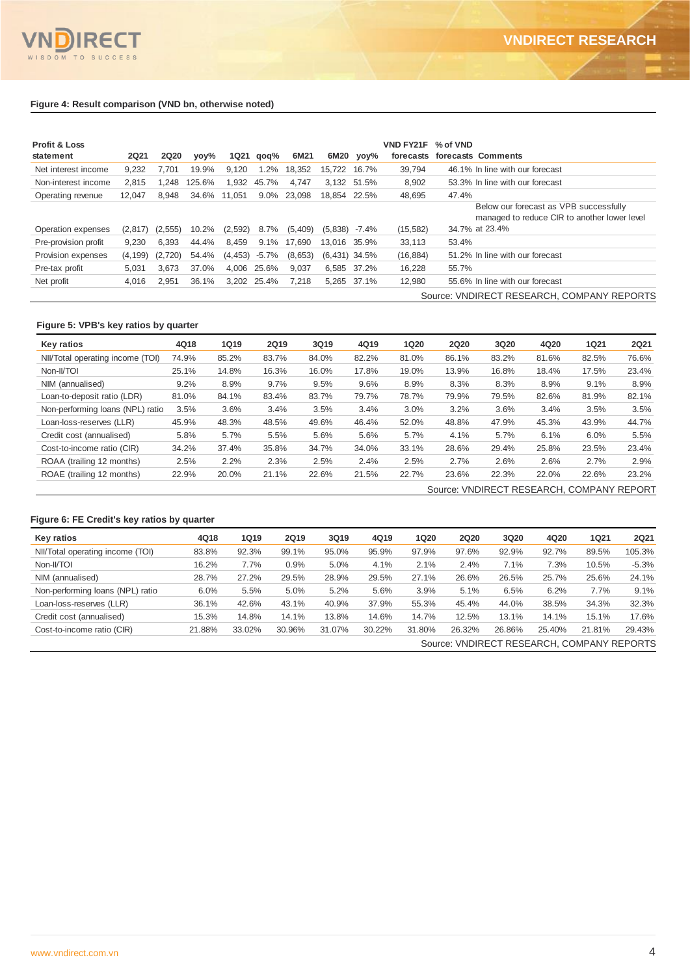#### **Figure 4: Result comparison (VND bn, otherwise noted)**

| <b>Profit &amp; Loss</b><br>statement | <b>2Q21</b> | <b>2Q20</b> | yoy%   | <b>1Q21</b> | qoq%        | 6M21    | 6M20            | yoy%        | <b>VND FY21F</b><br>forecasts | % of VND | forecasts Comments                                                                     |
|---------------------------------------|-------------|-------------|--------|-------------|-------------|---------|-----------------|-------------|-------------------------------|----------|----------------------------------------------------------------------------------------|
| Net interest income                   | 9,232       | 7.701       | 19.9%  | 9.120       | 1.2%        | 18.352  | 15.722          | 16.7%       | 39.794                        |          | 46.1% In line with our forecast                                                        |
| Non-interest income                   | 2.815       | 1.248       | 125.6% | 1.932       | 45.7%       | 4.747   |                 | 3.132 51.5% | 8,902                         |          | 53.3% In line with our forecast                                                        |
| Operating revenue                     | 12.047      | 8.948       | 34.6%  | 11.051      | $9.0\%$     | 23.098  | 18.854 22.5%    |             | 48.695                        | 47.4%    |                                                                                        |
|                                       |             |             |        |             |             |         |                 |             |                               |          | Below our forecast as VPB successfully<br>managed to reduce CIR to another lower level |
| Operation expenses                    | (2,817)     | (2, 555)    | 10.2%  | (2,592)     | 8.7%        | (5,409) | (5,838)         | -7.4%       | (15, 582)                     |          | 34.7% at 23.4%                                                                         |
| Pre-provision profit                  | 9.230       | 6.393       | 44.4%  | 8.459       | 9.1%        | 17.690  | 13.016          | 35.9%       | 33.113                        | 53.4%    |                                                                                        |
| Provision expenses                    | (4, 199)    | (2,720)     | 54.4%  | (4, 453)    | $-5.7\%$    | (8,653) | $(6,431)$ 34.5% |             | (16, 884)                     |          | 51.2% In line with our forecast                                                        |
| Pre-tax profit                        | 5.031       | 3.673       | 37.0%  | 4.006       | 25.6%       | 9.037   | 6.585           | 37.2%       | 16.228                        | 55.7%    |                                                                                        |
| Net profit                            | 4.016       | 2,951       | 36.1%  |             | 3.202 25.4% | 7.218   |                 | 5.265 37.1% | 12.980                        |          | 55.6% In line with our forecast                                                        |
|                                       |             |             |        |             |             |         |                 |             |                               |          | Source: VNDIRECT RESEARCH, COMPANY REPORTS                                             |

## **Figure 5: VPB's key ratios by quarter**

| Key ratios                       | 4Q18  | <b>1Q19</b> | <b>2Q19</b> | 3Q19  | 4Q19  | <b>1Q20</b> | <b>2Q20</b>                               | <b>3Q20</b> | 4Q20  | <b>1Q21</b> | <b>2Q21</b> |
|----------------------------------|-------|-------------|-------------|-------|-------|-------------|-------------------------------------------|-------------|-------|-------------|-------------|
| NII/Total operating income (TOI) | 74.9% | 85.2%       | 83.7%       | 84.0% | 82.2% | 81.0%       | 86.1%                                     | 83.2%       | 81.6% | 82.5%       | 76.6%       |
| Non-II/TOI                       | 25.1% | 14.8%       | 16.3%       | 16.0% | 17.8% | 19.0%       | 13.9%                                     | 16.8%       | 18.4% | 17.5%       | 23.4%       |
| NIM (annualised)                 | 9.2%  | 8.9%        | 9.7%        | 9.5%  | 9.6%  | 8.9%        | 8.3%                                      | 8.3%        | 8.9%  | 9.1%        | 8.9%        |
| Loan-to-deposit ratio (LDR)      | 81.0% | 84.1%       | 83.4%       | 83.7% | 79.7% | 78.7%       | 79.9%                                     | 79.5%       | 82.6% | 81.9%       | 82.1%       |
| Non-performing loans (NPL) ratio | 3.5%  | 3.6%        | 3.4%        | 3.5%  | 3.4%  | 3.0%        | 3.2%                                      | 3.6%        | 3.4%  | 3.5%        | 3.5%        |
| Loan-loss-reserves (LLR)         | 45.9% | 48.3%       | 48.5%       | 49.6% | 46.4% | 52.0%       | 48.8%                                     | 47.9%       | 45.3% | 43.9%       | 44.7%       |
| Credit cost (annualised)         | 5.8%  | 5.7%        | 5.5%        | 5.6%  | 5.6%  | 5.7%        | 4.1%                                      | 5.7%        | 6.1%  | 6.0%        | 5.5%        |
| Cost-to-income ratio (CIR)       | 34.2% | 37.4%       | 35.8%       | 34.7% | 34.0% | 33.1%       | 28.6%                                     | 29.4%       | 25.8% | 23.5%       | 23.4%       |
| ROAA (trailing 12 months)        | 2.5%  | 2.2%        | 2.3%        | 2.5%  | 2.4%  | 2.5%        | 2.7%                                      | 2.6%        | 2.6%  | 2.7%        | 2.9%        |
| ROAE (trailing 12 months)        | 22.9% | 20.0%       | 21.1%       | 22.6% | 21.5% | 22.7%       | 23.6%                                     | 22.3%       | 22.0% | 22.6%       | 23.2%       |
|                                  |       |             |             |       |       |             | Source: VNDIRECT RESEARCH, COMPANY REPORT |             |       |             |             |

#### **Figure 6: FE Credit's key ratios by quarter**

| Key ratios                       | 4Q18   | <b>1Q19</b> | <b>2Q19</b> | 3Q19   | 4Q19   | <b>1Q20</b> | <b>2Q20</b> | 3Q20   | 4Q20   | <b>1Q21</b>                                | <b>2Q21</b> |
|----------------------------------|--------|-------------|-------------|--------|--------|-------------|-------------|--------|--------|--------------------------------------------|-------------|
| NII/Total operating income (TOI) | 83.8%  | 92.3%       | 99.1%       | 95.0%  | 95.9%  | 97.9%       | 97.6%       | 92.9%  | 92.7%  | 89.5%                                      | 105.3%      |
| Non-II/TOI                       | 16.2%  | 7.7%        | 0.9%        | 5.0%   | 4.1%   | 2.1%        | 2.4%        | 7.1%   | 7.3%   | 10.5%                                      | $-5.3%$     |
| NIM (annualised)                 | 28.7%  | 27.2%       | 29.5%       | 28.9%  | 29.5%  | 27.1%       | 26.6%       | 26.5%  | 25.7%  | 25.6%                                      | 24.1%       |
| Non-performing loans (NPL) ratio | 6.0%   | 5.5%        | 5.0%        | 5.2%   | 5.6%   | 3.9%        | 5.1%        | 6.5%   | 6.2%   | 7.7%                                       | 9.1%        |
| Loan-loss-reserves (LLR)         | 36.1%  | 42.6%       | 43.1%       | 40.9%  | 37.9%  | 55.3%       | 45.4%       | 44.0%  | 38.5%  | 34.3%                                      | 32.3%       |
| Credit cost (annualised)         | 15.3%  | 14.8%       | 14.1%       | 13.8%  | 14.6%  | 14.7%       | 12.5%       | 13.1%  | 14.1%  | 15.1%                                      | 17.6%       |
| Cost-to-income ratio (CIR)       | 21.88% | 33.02%      | 30.96%      | 31.07% | 30.22% | 31.80%      | 26.32%      | 26.86% | 25.40% | 21.81%                                     | 29.43%      |
|                                  |        |             |             |        |        |             |             |        |        | Source: VNDIRECT RESEARCH, COMPANY REPORTS |             |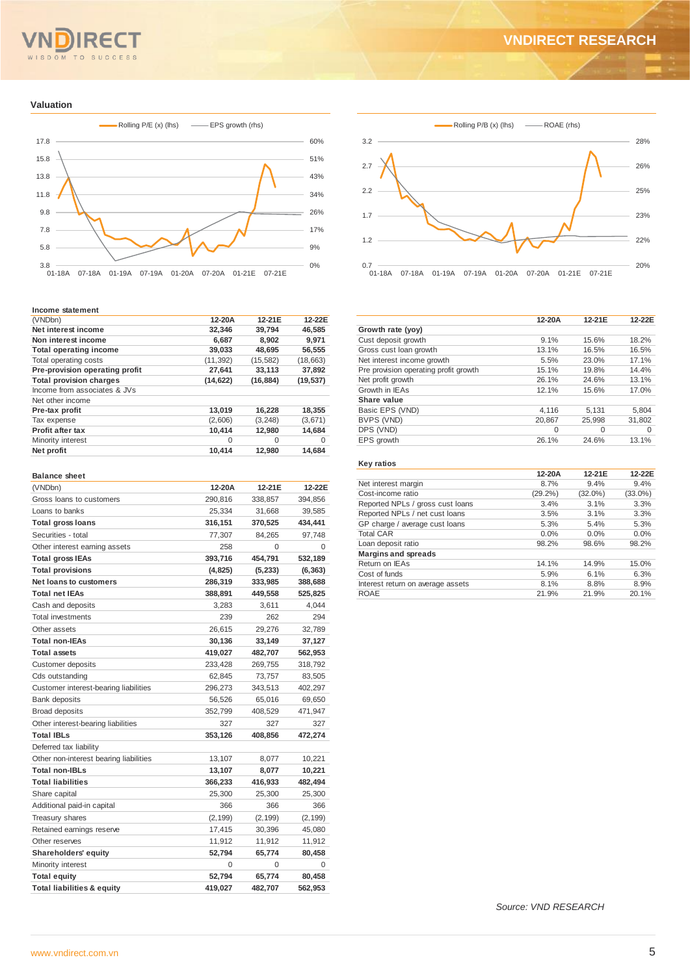#### $Q$  M  $T<sub>0</sub>$ **SUCCESS**

## **VNDIRECT RESEARCH**

#### **Valuation**



#### **Income statement**

| (VNDbn)                        | 12-20A    | 12-21E    | 12-22F    |
|--------------------------------|-----------|-----------|-----------|
| Net interest income            | 32.346    | 39.794    | 46.585    |
| Non interest income            | 6.687     | 8.902     | 9.971     |
| <b>Total operating income</b>  | 39,033    | 48.695    | 56,555    |
| Total operating costs          | (11, 392) | (15, 582) | (18, 663) |
| Pre-provision operating profit | 27.641    | 33,113    | 37,892    |
| <b>Total provision charges</b> | (14, 622) | (16, 884) | (19, 537) |
| Income from associates & JVs   |           |           |           |
| Net other income               |           |           |           |
| Pre-tax profit                 | 13.019    | 16,228    | 18,355    |
| Tax expense                    | (2,606)   | (3, 248)  | (3,671)   |
| Profit after tax               | 10,414    | 12,980    | 14,684    |
| Minority interest              | 0         | 0         | 0         |
| Net profit                     | 10,414    | 12,980    | 14,684    |

#### **Balance sheet**

| (VNDbn)                                | 12-20A   | 12-21E   | 12-22E   |
|----------------------------------------|----------|----------|----------|
| Gross loans to customers               | 290,816  | 338,857  | 394,856  |
| Loans to banks                         | 25,334   | 31,668   | 39,585   |
| <b>Total gross loans</b>               | 316,151  | 370,525  | 434,441  |
| Securities - total                     | 77,307   | 84,265   | 97,748   |
| Other interest earning assets          | 258      | 0        | 0        |
| <b>Total gross IEAs</b>                | 393,716  | 454,791  | 532,189  |
| <b>Total provisions</b>                | (4,825)  | (5,233)  | (6, 363) |
| <b>Net loans to customers</b>          | 286,319  | 333,985  | 388,688  |
| <b>Total net IEAs</b>                  | 388,891  | 449,558  | 525,825  |
| Cash and deposits                      | 3,283    | 3,611    | 4,044    |
| <b>Total investments</b>               | 239      | 262      | 294      |
| Other assets                           | 26,615   | 29,276   | 32,789   |
| <b>Total non-IEAs</b>                  | 30,136   | 33,149   | 37,127   |
| <b>Total assets</b>                    | 419,027  | 482,707  | 562,953  |
| <b>Customer deposits</b>               | 233,428  | 269,755  | 318,792  |
| Cds outstanding                        | 62,845   | 73,757   | 83,505   |
| Customer interest-bearing liabilities  | 296,273  | 343,513  | 402,297  |
| Bank deposits                          | 56,526   | 65,016   | 69,650   |
| <b>Broad deposits</b>                  | 352,799  | 408,529  | 471,947  |
| Other interest-bearing liabilities     | 327      | 327      | 327      |
| <b>Total IBLs</b>                      | 353,126  | 408,856  | 472,274  |
| Deferred tax liability                 |          |          |          |
| Other non-interest bearing liabilities | 13,107   | 8,077    | 10,221   |
| <b>Total non-IBLs</b>                  | 13,107   | 8,077    | 10,221   |
| <b>Total liabilities</b>               | 366,233  | 416,933  | 482,494  |
| Share capital                          | 25,300   | 25,300   | 25,300   |
| Additional paid-in capital             | 366      | 366      | 366      |
| Treasury shares                        | (2, 199) | (2, 199) | (2, 199) |
| Retained earnings reserve              | 17,415   | 30,396   | 45,080   |
| Other reserves                         | 11,912   | 11,912   | 11,912   |
| Shareholders' equity                   | 52,794   | 65,774   | 80,458   |
| Minority interest                      | 0        | 0        | 0        |
| <b>Total equity</b>                    | 52,794   | 65,774   | 80,458   |
| <b>Total liabilities &amp; equity</b>  | 419,027  | 482,707  | 562,953  |



|                                       | 12-20A   | 12-21E   | 12-22E   |
|---------------------------------------|----------|----------|----------|
| Growth rate (yoy)                     |          |          |          |
| Cust deposit growth                   | 9.1%     | 15.6%    | 18.2%    |
| Gross cust loan growth                | 13.1%    | 16.5%    | 16.5%    |
| Net interest income growth            | 5.5%     | 23.0%    | 17.1%    |
| Pre provision operating profit growth | 15.1%    | 19.8%    | 14.4%    |
| Net profit growth                     | 26.1%    | 24.6%    | 13.1%    |
| Growth in IEAs                        | 12.1%    | 15.6%    | 17.0%    |
| Share value                           |          |          |          |
| Basic EPS (VND)                       | 4,116    | 5.131    | 5,804    |
| BVPS (VND)                            | 20,867   | 25,998   | 31,802   |
| DPS (VND)                             | $\Omega$ | $\Omega$ | $\Omega$ |
| EPS growth                            | 26.1%    | 24.6%    | 13.1%    |
|                                       |          |          |          |

#### **Key ratios**

|                                   | 12-20A     | 12-21E     | 12-22E     |
|-----------------------------------|------------|------------|------------|
| Net interest margin               | 8.7%       | 9.4%       | 9.4%       |
| Cost-income ratio                 | $(29.2\%)$ | $(32.0\%)$ | $(33.0\%)$ |
| Reported NPLs / gross cust loans  | 3.4%       | 3.1%       | 3.3%       |
| Reported NPLs / net cust loans    | 3.5%       | 3.1%       | 3.3%       |
| GP charge / average cust loans    | 5.3%       | 5.4%       | 5.3%       |
| <b>Total CAR</b>                  | 0.0%       | 0.0%       | 0.0%       |
| Loan deposit ratio                | 98.2%      | 98.6%      | 98.2%      |
| <b>Margins and spreads</b>        |            |            |            |
| Return on IEAs                    | 14.1%      | 14.9%      | 15.0%      |
| Cost of funds                     | 5.9%       | 6.1%       | 6.3%       |
| Interest return on average assets | 8.1%       | 8.8%       | 8.9%       |
| <b>ROAE</b>                       | 21.9%      | 21.9%      | 20.1%      |
|                                   |            |            |            |